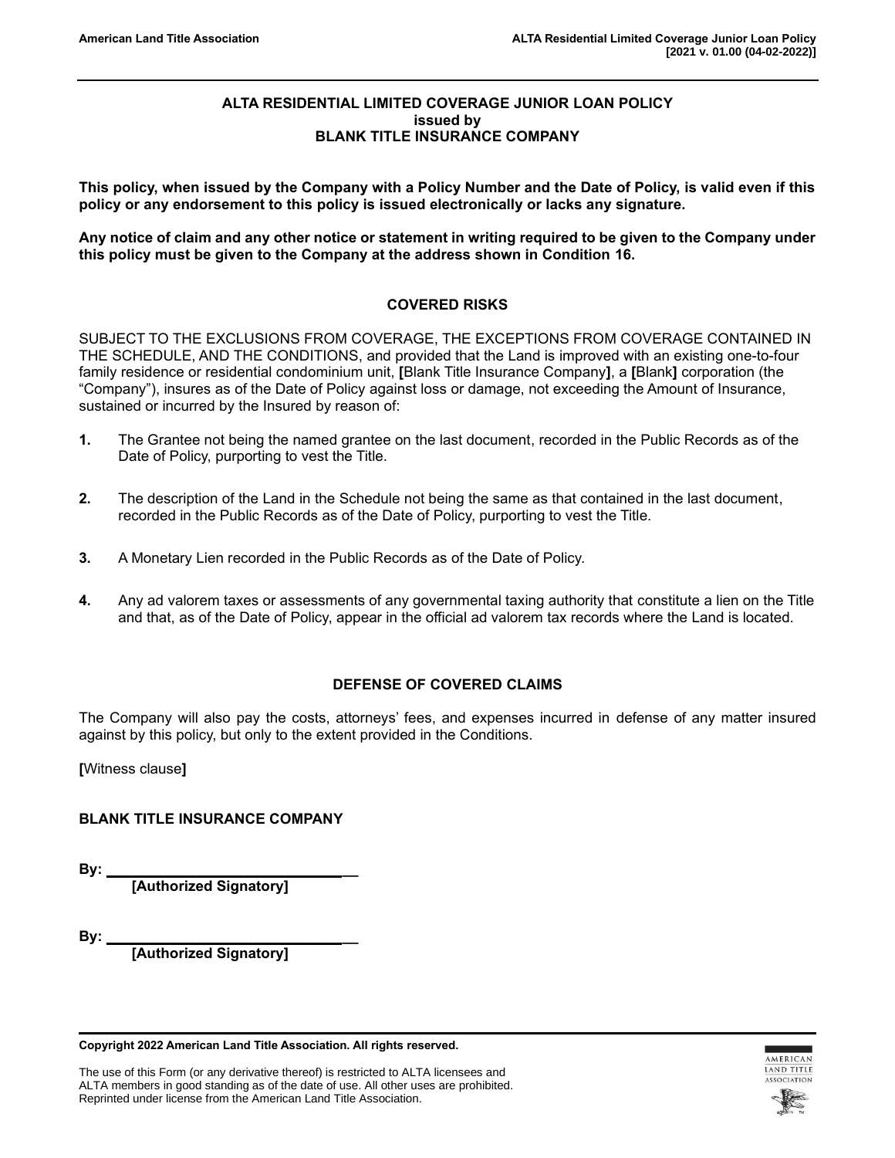#### **ALTA RESIDENTIAL LIMITED COVERAGE JUNIOR LOAN POLICY issued by BLANK TITLE INSURANCE COMPANY**

**This policy, when issued by the Company with a Policy Number and the Date of Policy, is valid even if this policy or any endorsement to this policy is issued electronically or lacks any signature.**

**Any notice of claim and any other notice or statement in writing required to be given to the Company under this policy must be given to the Company at the address shown in Condition 16.**

## **COVERED RISKS**

SUBJECT TO THE EXCLUSIONS FROM COVERAGE, THE EXCEPTIONS FROM COVERAGE CONTAINED IN THE SCHEDULE, AND THE CONDITIONS, and provided that the Land is improved with an existing one-to-four family residence or residential condominium unit, **[**Blank Title Insurance Company**]**, a **[**Blank**]** corporation (the "Company"), insures as of the Date of Policy against loss or damage, not exceeding the Amount of Insurance, sustained or incurred by the Insured by reason of:

- **1.** The Grantee not being the named grantee on the last document, recorded in the Public Records as of the Date of Policy, purporting to vest the Title.
- **2.** The description of the Land in the Schedule not being the same as that contained in the last document, recorded in the Public Records as of the Date of Policy, purporting to vest the Title.
- **3.** A Monetary Lien recorded in the Public Records as of the Date of Policy.
- **4.** Any ad valorem taxes or assessments of any governmental taxing authority that constitute a lien on the Title and that, as of the Date of Policy, appear in the official ad valorem tax records where the Land is located.

## **DEFENSE OF COVERED CLAIMS**

The Company will also pay the costs, attorneys' fees, and expenses incurred in defense of any matter insured against by this policy, but only to the extent provided in the Conditions.

**[**Witness clause**]**

## **BLANK TITLE INSURANCE COMPANY**

**By: \_\_\_\_\_\_\_\_\_\_\_\_\_\_\_\_\_\_\_\_\_\_\_\_\_\_\_\_\_\_\_**

**[Authorized Signatory]**

**By: \_\_\_\_\_\_\_\_\_\_\_\_\_\_\_\_\_\_\_\_\_\_\_\_\_\_\_\_\_\_\_**

**[Authorized Signatory]**



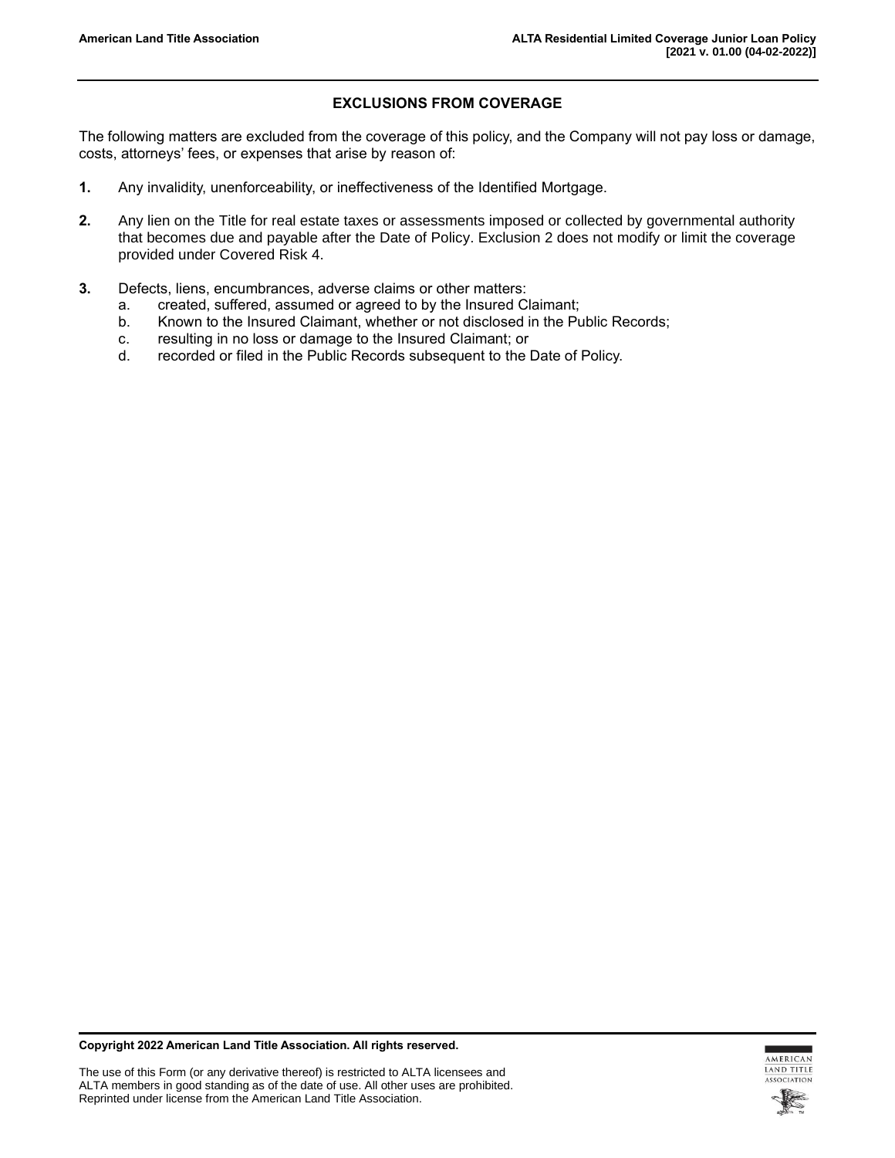# **EXCLUSIONS FROM COVERAGE**

The following matters are excluded from the coverage of this policy, and the Company will not pay loss or damage, costs, attorneys' fees, or expenses that arise by reason of:

- **1.** Any invalidity, unenforceability, or ineffectiveness of the Identified Mortgage.
- **2.** Any lien on the Title for real estate taxes or assessments imposed or collected by governmental authority that becomes due and payable after the Date of Policy. Exclusion 2 does not modify or limit the coverage provided under Covered Risk 4.
- **3.** Defects, liens, encumbrances, adverse claims or other matters:
	- a. created, suffered, assumed or agreed to by the Insured Claimant;
	- b. Known to the Insured Claimant, whether or not disclosed in the Public Records;
	- c. resulting in no loss or damage to the Insured Claimant; or
	- d. recorded or filed in the Public Records subsequent to the Date of Policy.



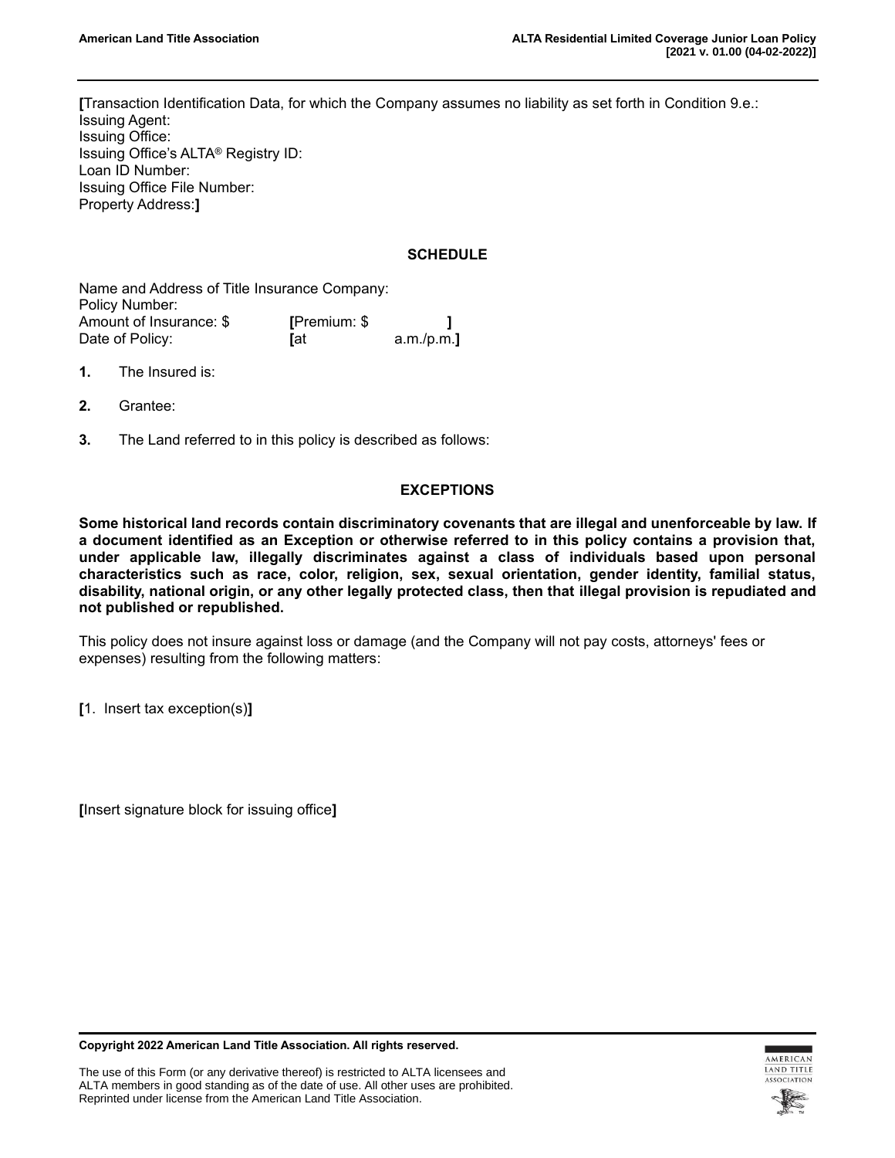**[**Transaction Identification Data, for which the Company assumes no liability as set forth in Condition 9.e.: Issuing Agent: Issuing Office: Issuing Office's ALTA® Registry ID: Loan ID Number: Issuing Office File Number: Property Address:**]**

#### **SCHEDULE**

Name and Address of Title Insurance Company: Policy Number: Amount of Insurance: \$ **[**Premium: \$ **]** Date of Policy: **[at a.m./p.m.]** 

**1.** The Insured is:

**2.** Grantee:

**3.** The Land referred to in this policy is described as follows:

#### **EXCEPTIONS**

**Some historical land records contain discriminatory covenants that are illegal and unenforceable by law. If a document identified as an Exception or otherwise referred to in this policy contains a provision that, under applicable law, illegally discriminates against a class of individuals based upon personal characteristics such as race, color, religion, sex, sexual orientation, gender identity, familial status, disability, national origin, or any other legally protected class, then that illegal provision is repudiated and not published or republished.**

This policy does not insure against loss or damage (and the Company will not pay costs, attorneys' fees or expenses) resulting from the following matters:

**[**1. Insert tax exception(s)**]**

**[**Insert signature block for issuing office**]**

**Copyright 2022 American Land Title Association. All rights reserved.**



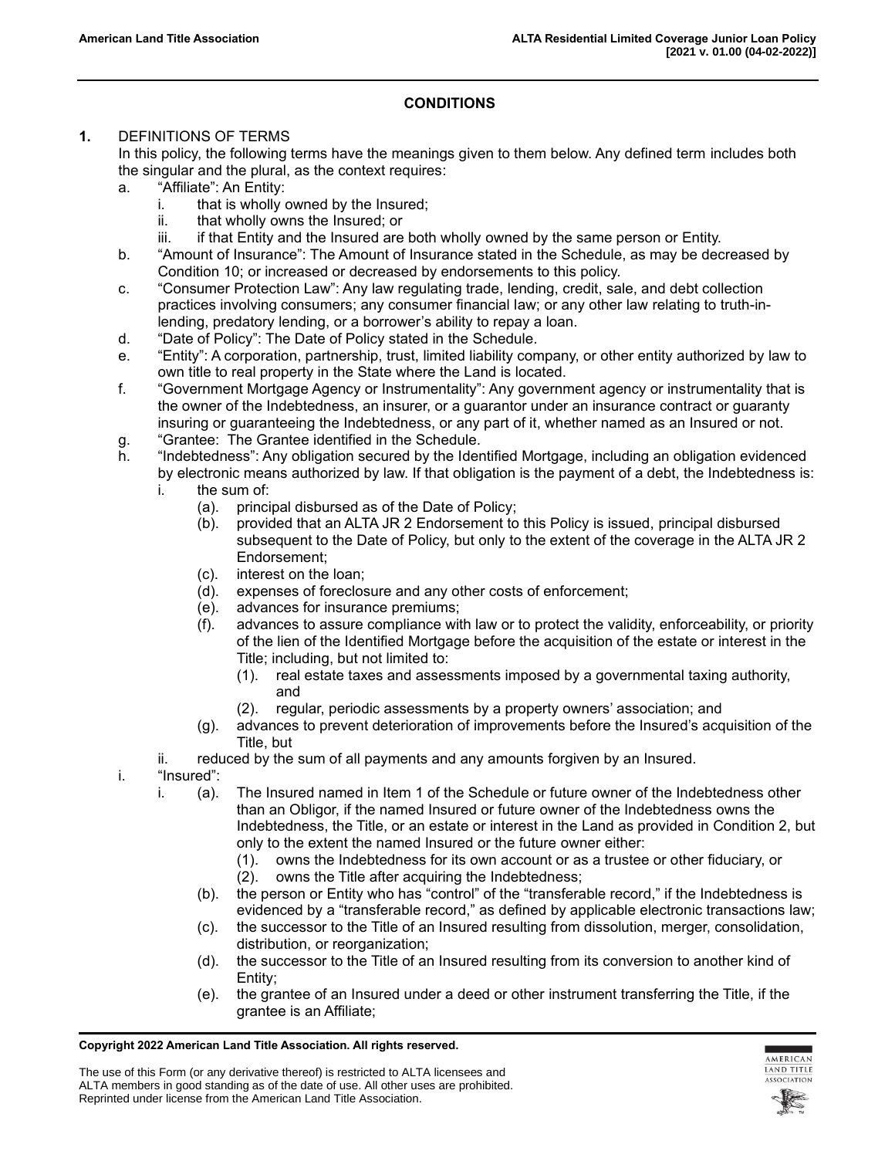# **CONDITIONS**

**1.** DEFINITIONS OF TERMS

In this policy, the following terms have the meanings given to them below. Any defined term includes both the singular and the plural, as the context requires:

- a. "Affiliate": An Entity:
	- i. that is wholly owned by the Insured:
	- ii. that wholly owns the Insured; or
	- iii. if that Entity and the Insured are both wholly owned by the same person or Entity.
- b. "Amount of Insurance": The Amount of Insurance stated in the Schedule, as may be decreased by Condition 10; or increased or decreased by endorsements to this policy.
- c. "Consumer Protection Law": Any law regulating trade, lending, credit, sale, and debt collection practices involving consumers; any consumer financial law; or any other law relating to truth-inlending, predatory lending, or a borrower's ability to repay a loan.
- d. "Date of Policy": The Date of Policy stated in the Schedule.
- e. "Entity": A corporation, partnership, trust, limited liability company, or other entity authorized by law to own title to real property in the State where the Land is located.
- f. "Government Mortgage Agency or Instrumentality": Any government agency or instrumentality that is the owner of the Indebtedness, an insurer, or a guarantor under an insurance contract or guaranty insuring or guaranteeing the Indebtedness, or any part of it, whether named as an Insured or not.
- g. "Grantee: The Grantee identified in the Schedule.
- h. "Indebtedness": Any obligation secured by the Identified Mortgage, including an obligation evidenced by electronic means authorized by law. If that obligation is the payment of a debt, the Indebtedness is:
	- i. the sum of:
		- (a). principal disbursed as of the Date of Policy;
		- (b). provided that an ALTA JR 2 Endorsement to this Policy is issued, principal disbursed subsequent to the Date of Policy, but only to the extent of the coverage in the ALTA JR 2 Endorsement;
		- (c). interest on the loan;
		- (d). expenses of foreclosure and any other costs of enforcement;
		- (e). advances for insurance premiums;
		- (f). advances to assure compliance with law or to protect the validity, enforceability, or priority of the lien of the Identified Mortgage before the acquisition of the estate or interest in the Title; including, but not limited to:
			- (1). real estate taxes and assessments imposed by a governmental taxing authority, and
			- (2). regular, periodic assessments by a property owners' association; and
		- (g). advances to prevent deterioration of improvements before the Insured's acquisition of the Title, but
	- ii. reduced by the sum of all payments and any amounts forgiven by an Insured.
- i. "Insured":
	- i. (a). The Insured named in Item 1 of the Schedule or future owner of the Indebtedness other than an Obligor, if the named Insured or future owner of the Indebtedness owns the Indebtedness, the Title, or an estate or interest in the Land as provided in Condition 2, but only to the extent the named Insured or the future owner either:
		- (1). owns the Indebtedness for its own account or as a trustee or other fiduciary, or
		- (2). owns the Title after acquiring the Indebtedness;
		- (b). the person or Entity who has "control" of the "transferable record," if the Indebtedness is evidenced by a "transferable record," as defined by applicable electronic transactions law;
		- (c). the successor to the Title of an Insured resulting from dissolution, merger, consolidation, distribution, or reorganization;
		- (d). the successor to the Title of an Insured resulting from its conversion to another kind of Entity;
		- (e). the grantee of an Insured under a deed or other instrument transferring the Title, if the grantee is an Affiliate;

**Copyright 2022 American Land Title Association. All rights reserved.**

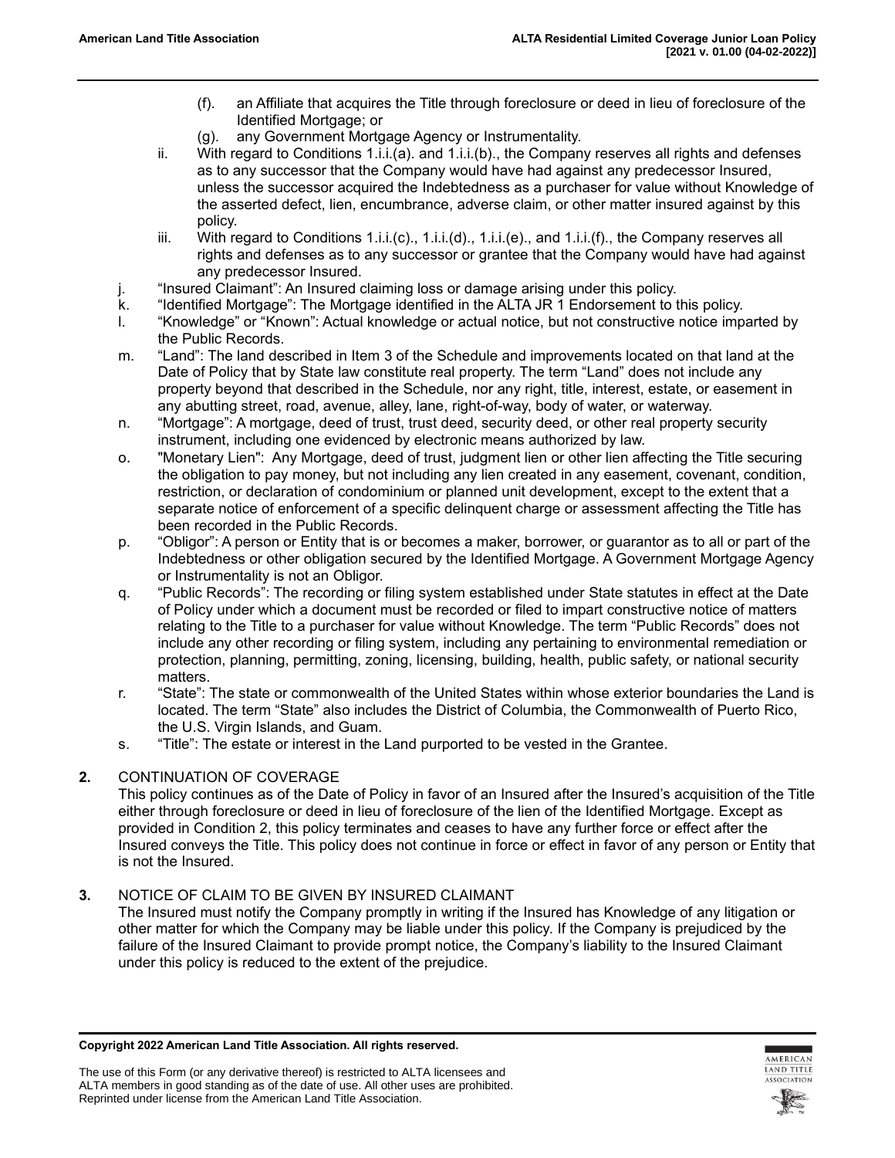- (f). an Affiliate that acquires the Title through foreclosure or deed in lieu of foreclosure of the Identified Mortgage; or
- (g). any Government Mortgage Agency or Instrumentality.
- ii. With regard to Conditions 1.i.i.(a). and 1.i.i.(b)., the Company reserves all rights and defenses as to any successor that the Company would have had against any predecessor Insured, unless the successor acquired the Indebtedness as a purchaser for value without Knowledge of the asserted defect, lien, encumbrance, adverse claim, or other matter insured against by this policy.
- iii. With regard to Conditions 1.i.i.(c)., 1.i.i.(d)., 1.i.i.(e)., and 1.i.i.(f)., the Company reserves all rights and defenses as to any successor or grantee that the Company would have had against any predecessor Insured.
- j. "Insured Claimant": An Insured claiming loss or damage arising under this policy.
- k. "Identified Mortgage": The Mortgage identified in the ALTA JR 1 Endorsement to this policy.
- l. "Knowledge" or "Known": Actual knowledge or actual notice, but not constructive notice imparted by the Public Records.
- m. "Land": The land described in Item 3 of the Schedule and improvements located on that land at the Date of Policy that by State law constitute real property. The term "Land" does not include any property beyond that described in the Schedule, nor any right, title, interest, estate, or easement in any abutting street, road, avenue, alley, lane, right-of-way, body of water, or waterway.
- n. "Mortgage": A mortgage, deed of trust, trust deed, security deed, or other real property security instrument, including one evidenced by electronic means authorized by law.
- o. "Monetary Lien": Any Mortgage, deed of trust, judgment lien or other lien affecting the Title securing the obligation to pay money, but not including any lien created in any easement, covenant, condition, restriction, or declaration of condominium or planned unit development, except to the extent that a separate notice of enforcement of a specific delinquent charge or assessment affecting the Title has been recorded in the Public Records.
- p. "Obligor": A person or Entity that is or becomes a maker, borrower, or guarantor as to all or part of the Indebtedness or other obligation secured by the Identified Mortgage. A Government Mortgage Agency or Instrumentality is not an Obligor.
- q. "Public Records": The recording or filing system established under State statutes in effect at the Date of Policy under which a document must be recorded or filed to impart constructive notice of matters relating to the Title to a purchaser for value without Knowledge. The term "Public Records" does not include any other recording or filing system, including any pertaining to environmental remediation or protection, planning, permitting, zoning, licensing, building, health, public safety, or national security matters.
- r. "State": The state or commonwealth of the United States within whose exterior boundaries the Land is located. The term "State" also includes the District of Columbia, the Commonwealth of Puerto Rico, the U.S. Virgin Islands, and Guam.
- s. "Title": The estate or interest in the Land purported to be vested in the Grantee.

## **2.** CONTINUATION OF COVERAGE

This policy continues as of the Date of Policy in favor of an Insured after the Insured's acquisition of the Title either through foreclosure or deed in lieu of foreclosure of the lien of the Identified Mortgage. Except as provided in Condition 2, this policy terminates and ceases to have any further force or effect after the Insured conveys the Title. This policy does not continue in force or effect in favor of any person or Entity that is not the Insured.

## **3.** NOTICE OF CLAIM TO BE GIVEN BY INSURED CLAIMANT

The Insured must notify the Company promptly in writing if the Insured has Knowledge of any litigation or other matter for which the Company may be liable under this policy. If the Company is prejudiced by the failure of the Insured Claimant to provide prompt notice, the Company's liability to the Insured Claimant under this policy is reduced to the extent of the prejudice.

**Copyright 2022 American Land Title Association. All rights reserved.**

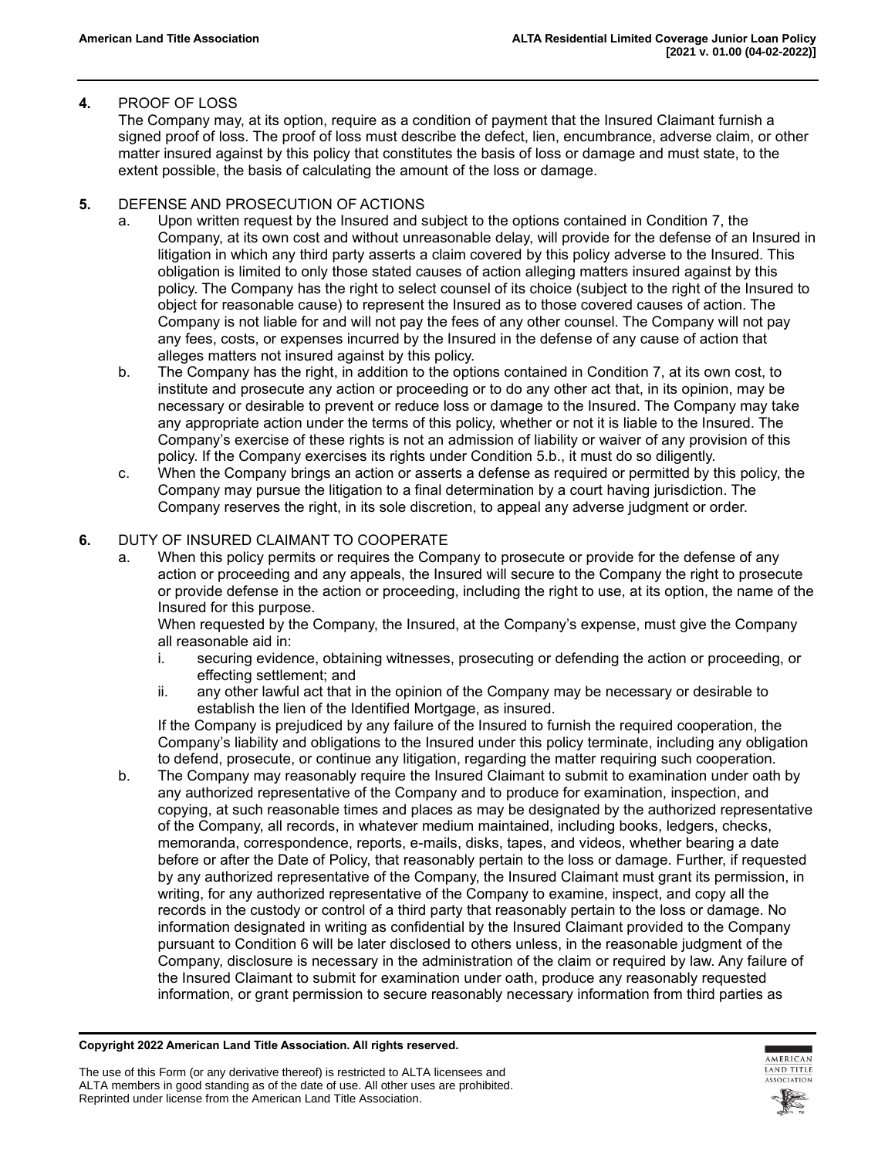## **4.** PROOF OF LOSS

The Company may, at its option, require as a condition of payment that the Insured Claimant furnish a signed proof of loss. The proof of loss must describe the defect, lien, encumbrance, adverse claim, or other matter insured against by this policy that constitutes the basis of loss or damage and must state, to the extent possible, the basis of calculating the amount of the loss or damage.

## **5.** DEFENSE AND PROSECUTION OF ACTIONS

- a. Upon written request by the Insured and subject to the options contained in Condition 7, the Company, at its own cost and without unreasonable delay, will provide for the defense of an Insured in litigation in which any third party asserts a claim covered by this policy adverse to the Insured. This obligation is limited to only those stated causes of action alleging matters insured against by this policy. The Company has the right to select counsel of its choice (subject to the right of the Insured to object for reasonable cause) to represent the Insured as to those covered causes of action. The Company is not liable for and will not pay the fees of any other counsel. The Company will not pay any fees, costs, or expenses incurred by the Insured in the defense of any cause of action that alleges matters not insured against by this policy.
- b. The Company has the right, in addition to the options contained in Condition 7, at its own cost, to institute and prosecute any action or proceeding or to do any other act that, in its opinion, may be necessary or desirable to prevent or reduce loss or damage to the Insured. The Company may take any appropriate action under the terms of this policy, whether or not it is liable to the Insured. The Company's exercise of these rights is not an admission of liability or waiver of any provision of this policy. If the Company exercises its rights under Condition 5.b., it must do so diligently.
- c. When the Company brings an action or asserts a defense as required or permitted by this policy, the Company may pursue the litigation to a final determination by a court having jurisdiction. The Company reserves the right, in its sole discretion, to appeal any adverse judgment or order.

## **6.** DUTY OF INSURED CLAIMANT TO COOPERATE

a. When this policy permits or requires the Company to prosecute or provide for the defense of any action or proceeding and any appeals, the Insured will secure to the Company the right to prosecute or provide defense in the action or proceeding, including the right to use, at its option, the name of the Insured for this purpose.

When requested by the Company, the Insured, at the Company's expense, must give the Company all reasonable aid in:

- i. securing evidence, obtaining witnesses, prosecuting or defending the action or proceeding, or effecting settlement; and
- ii. any other lawful act that in the opinion of the Company may be necessary or desirable to establish the lien of the Identified Mortgage, as insured.

If the Company is prejudiced by any failure of the Insured to furnish the required cooperation, the Company's liability and obligations to the Insured under this policy terminate, including any obligation to defend, prosecute, or continue any litigation, regarding the matter requiring such cooperation.

b. The Company may reasonably require the Insured Claimant to submit to examination under oath by any authorized representative of the Company and to produce for examination, inspection, and copying, at such reasonable times and places as may be designated by the authorized representative of the Company, all records, in whatever medium maintained, including books, ledgers, checks, memoranda, correspondence, reports, e-mails, disks, tapes, and videos, whether bearing a date before or after the Date of Policy, that reasonably pertain to the loss or damage. Further, if requested by any authorized representative of the Company, the Insured Claimant must grant its permission, in writing, for any authorized representative of the Company to examine, inspect, and copy all the records in the custody or control of a third party that reasonably pertain to the loss or damage. No information designated in writing as confidential by the Insured Claimant provided to the Company pursuant to Condition 6 will be later disclosed to others unless, in the reasonable judgment of the Company, disclosure is necessary in the administration of the claim or required by law. Any failure of the Insured Claimant to submit for examination under oath, produce any reasonably requested information, or grant permission to secure reasonably necessary information from third parties as

**Copyright 2022 American Land Title Association. All rights reserved.**

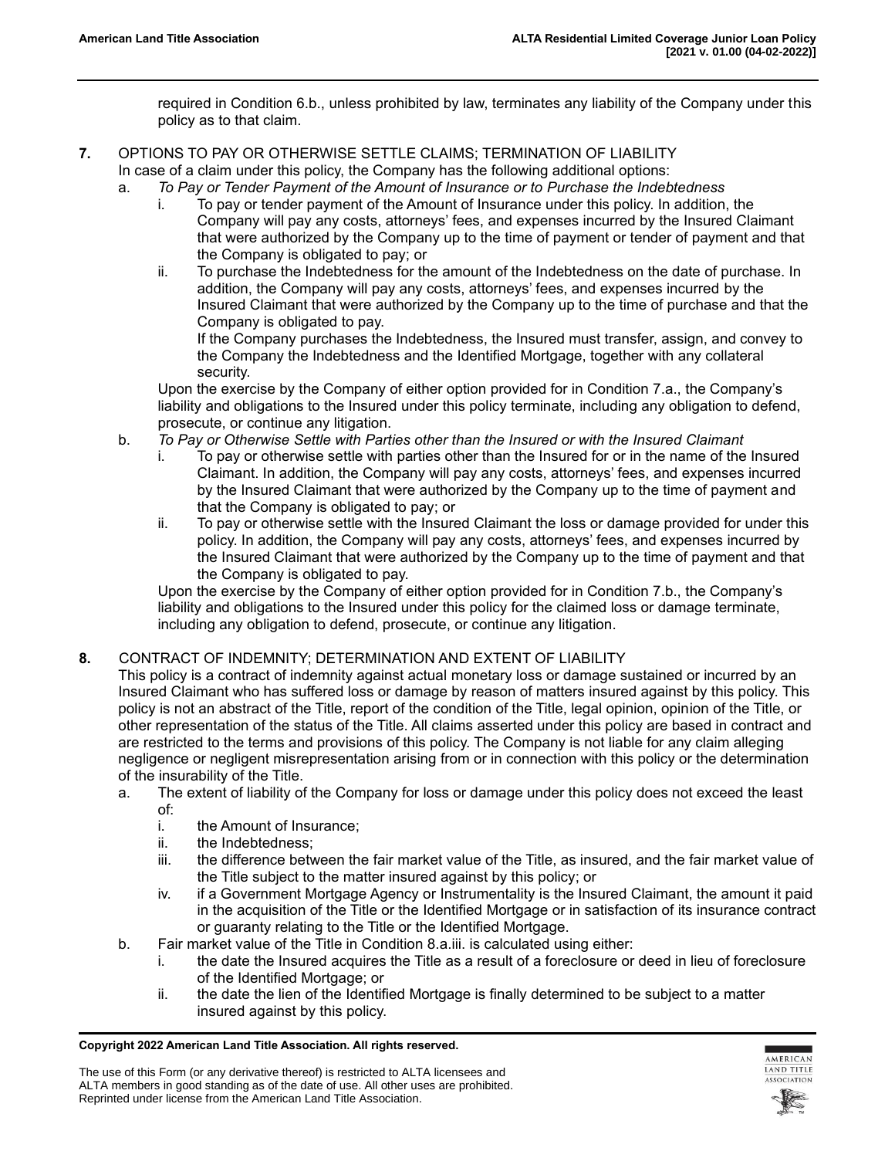required in Condition 6.b., unless prohibited by law, terminates any liability of the Company under this policy as to that claim.

## **7.** OPTIONS TO PAY OR OTHERWISE SETTLE CLAIMS; TERMINATION OF LIABILITY

In case of a claim under this policy, the Company has the following additional options:

- a. *To Pay or Tender Payment of the Amount of Insurance or to Purchase the Indebtedness*
	- i. To pay or tender payment of the Amount of Insurance under this policy. In addition, the Company will pay any costs, attorneys' fees, and expenses incurred by the Insured Claimant that were authorized by the Company up to the time of payment or tender of payment and that the Company is obligated to pay; or
	- ii. To purchase the Indebtedness for the amount of the Indebtedness on the date of purchase. In addition, the Company will pay any costs, attorneys' fees, and expenses incurred by the Insured Claimant that were authorized by the Company up to the time of purchase and that the Company is obligated to pay.

If the Company purchases the Indebtedness, the Insured must transfer, assign, and convey to the Company the Indebtedness and the Identified Mortgage, together with any collateral security.

Upon the exercise by the Company of either option provided for in Condition 7.a., the Company's liability and obligations to the Insured under this policy terminate, including any obligation to defend, prosecute, or continue any litigation.

- b. *To Pay or Otherwise Settle with Parties other than the Insured or with the Insured Claimant*
	- i. To pay or otherwise settle with parties other than the Insured for or in the name of the Insured Claimant. In addition, the Company will pay any costs, attorneys' fees, and expenses incurred by the Insured Claimant that were authorized by the Company up to the time of payment and that the Company is obligated to pay; or
	- ii. To pay or otherwise settle with the Insured Claimant the loss or damage provided for under this policy. In addition, the Company will pay any costs, attorneys' fees, and expenses incurred by the Insured Claimant that were authorized by the Company up to the time of payment and that the Company is obligated to pay.

Upon the exercise by the Company of either option provided for in Condition 7.b., the Company's liability and obligations to the Insured under this policy for the claimed loss or damage terminate, including any obligation to defend, prosecute, or continue any litigation.

## **8.** CONTRACT OF INDEMNITY; DETERMINATION AND EXTENT OF LIABILITY

This policy is a contract of indemnity against actual monetary loss or damage sustained or incurred by an Insured Claimant who has suffered loss or damage by reason of matters insured against by this policy. This policy is not an abstract of the Title, report of the condition of the Title, legal opinion, opinion of the Title, or other representation of the status of the Title. All claims asserted under this policy are based in contract and are restricted to the terms and provisions of this policy. The Company is not liable for any claim alleging negligence or negligent misrepresentation arising from or in connection with this policy or the determination of the insurability of the Title.

- a. The extent of liability of the Company for loss or damage under this policy does not exceed the least of:
	- i. the Amount of Insurance;
	- ii. the Indebtedness;
	- iii. the difference between the fair market value of the Title, as insured, and the fair market value of the Title subject to the matter insured against by this policy; or
	- iv. if a Government Mortgage Agency or Instrumentality is the Insured Claimant, the amount it paid in the acquisition of the Title or the Identified Mortgage or in satisfaction of its insurance contract or guaranty relating to the Title or the Identified Mortgage.
- b. Fair market value of the Title in Condition 8.a.iii. is calculated using either:
	- i. the date the Insured acquires the Title as a result of a foreclosure or deed in lieu of foreclosure of the Identified Mortgage; or
	- ii. the date the lien of the Identified Mortgage is finally determined to be subject to a matter insured against by this policy.

#### **Copyright 2022 American Land Title Association. All rights reserved.**

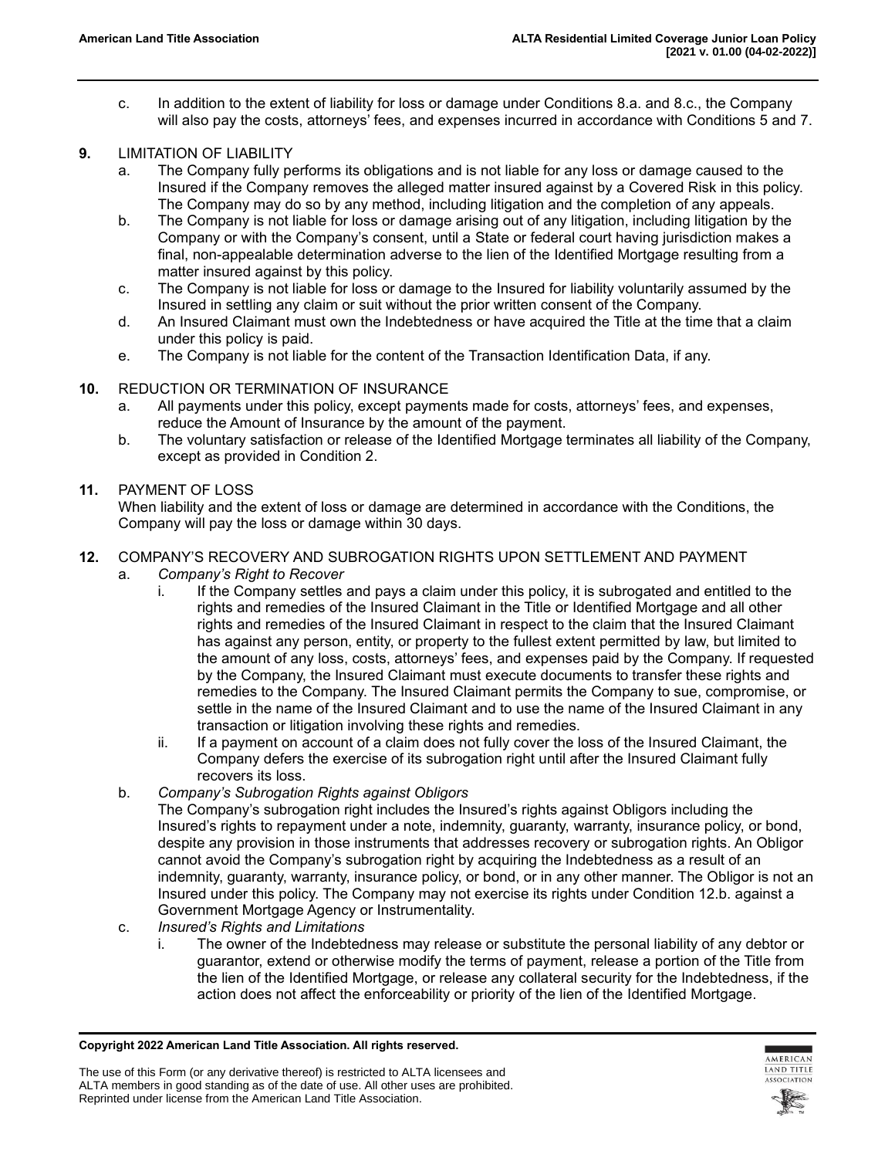c. In addition to the extent of liability for loss or damage under Conditions 8.a. and 8.c., the Company will also pay the costs, attorneys' fees, and expenses incurred in accordance with Conditions 5 and 7.

#### **9.** LIMITATION OF LIABILITY

- a. The Company fully performs its obligations and is not liable for any loss or damage caused to the Insured if the Company removes the alleged matter insured against by a Covered Risk in this policy. The Company may do so by any method, including litigation and the completion of any appeals.
- b. The Company is not liable for loss or damage arising out of any litigation, including litigation by the Company or with the Company's consent, until a State or federal court having jurisdiction makes a final, non-appealable determination adverse to the lien of the Identified Mortgage resulting from a matter insured against by this policy.
- c. The Company is not liable for loss or damage to the Insured for liability voluntarily assumed by the Insured in settling any claim or suit without the prior written consent of the Company.
- d. An Insured Claimant must own the Indebtedness or have acquired the Title at the time that a claim under this policy is paid.
- e. The Company is not liable for the content of the Transaction Identification Data, if any.

#### **10.** REDUCTION OR TERMINATION OF INSURANCE

- a. All payments under this policy, except payments made for costs, attorneys' fees, and expenses, reduce the Amount of Insurance by the amount of the payment.
- b. The voluntary satisfaction or release of the Identified Mortgage terminates all liability of the Company, except as provided in Condition 2.

#### **11.** PAYMENT OF LOSS

When liability and the extent of loss or damage are determined in accordance with the Conditions, the Company will pay the loss or damage within 30 days.

## **12.** COMPANY'S RECOVERY AND SUBROGATION RIGHTS UPON SETTLEMENT AND PAYMENT

- a. *Company's Right to Recover*
	- i. If the Company settles and pays a claim under this policy, it is subrogated and entitled to the rights and remedies of the Insured Claimant in the Title or Identified Mortgage and all other rights and remedies of the Insured Claimant in respect to the claim that the Insured Claimant has against any person, entity, or property to the fullest extent permitted by law, but limited to the amount of any loss, costs, attorneys' fees, and expenses paid by the Company. If requested by the Company, the Insured Claimant must execute documents to transfer these rights and remedies to the Company. The Insured Claimant permits the Company to sue, compromise, or settle in the name of the Insured Claimant and to use the name of the Insured Claimant in any transaction or litigation involving these rights and remedies.
	- ii. If a payment on account of a claim does not fully cover the loss of the Insured Claimant, the Company defers the exercise of its subrogation right until after the Insured Claimant fully recovers its loss.
- b. *Company's Subrogation Rights against Obligors*

The Company's subrogation right includes the Insured's rights against Obligors including the Insured's rights to repayment under a note, indemnity, guaranty, warranty, insurance policy, or bond, despite any provision in those instruments that addresses recovery or subrogation rights. An Obligor cannot avoid the Company's subrogation right by acquiring the Indebtedness as a result of an indemnity, guaranty, warranty, insurance policy, or bond, or in any other manner. The Obligor is not an Insured under this policy. The Company may not exercise its rights under Condition 12.b. against a Government Mortgage Agency or Instrumentality.

- c. *Insured's Rights and Limitations*
	- i. The owner of the Indebtedness may release or substitute the personal liability of any debtor or guarantor, extend or otherwise modify the terms of payment, release a portion of the Title from the lien of the Identified Mortgage, or release any collateral security for the Indebtedness, if the action does not affect the enforceability or priority of the lien of the Identified Mortgage.

**Copyright 2022 American Land Title Association. All rights reserved.**

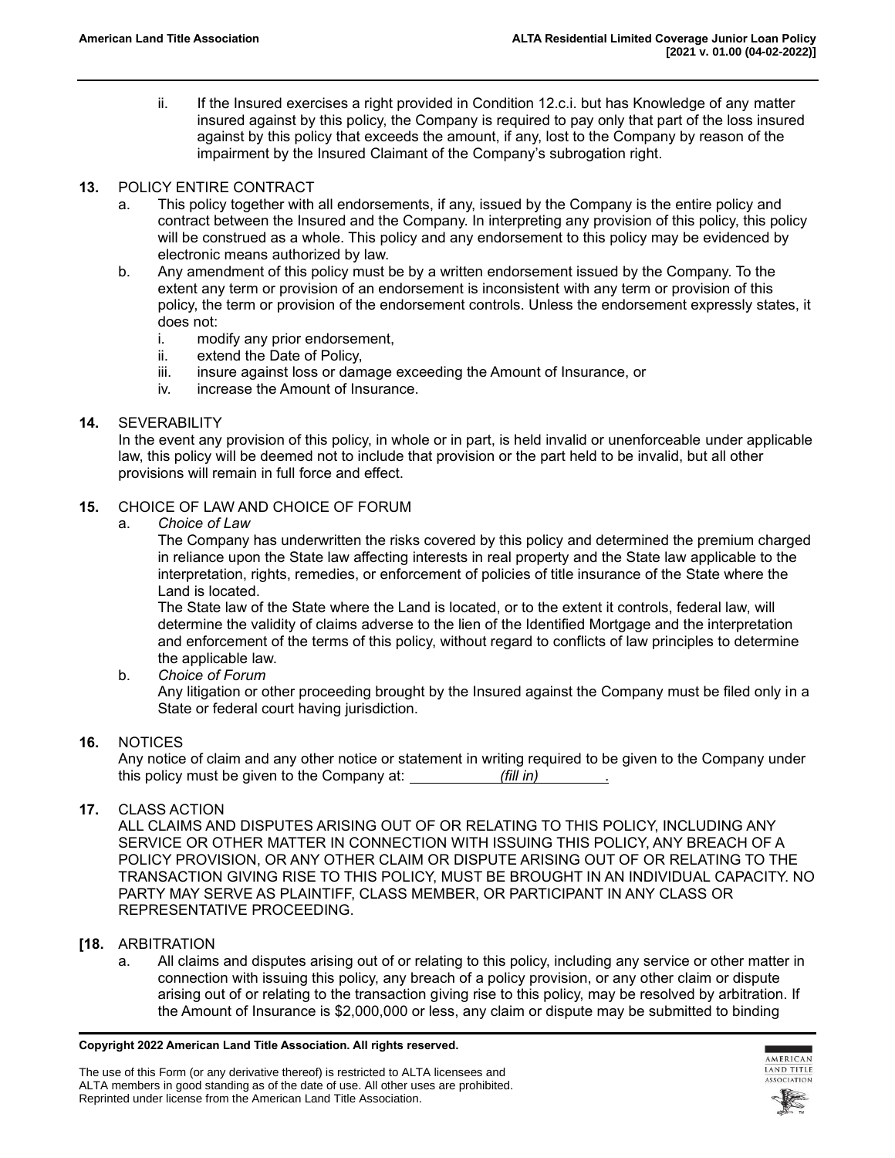ii. If the Insured exercises a right provided in Condition 12.c.i. but has Knowledge of any matter insured against by this policy, the Company is required to pay only that part of the loss insured against by this policy that exceeds the amount, if any, lost to the Company by reason of the impairment by the Insured Claimant of the Company's subrogation right.

## **13.** POLICY ENTIRE CONTRACT

- a. This policy together with all endorsements, if any, issued by the Company is the entire policy and contract between the Insured and the Company. In interpreting any provision of this policy, this policy will be construed as a whole. This policy and any endorsement to this policy may be evidenced by electronic means authorized by law.
- b. Any amendment of this policy must be by a written endorsement issued by the Company. To the extent any term or provision of an endorsement is inconsistent with any term or provision of this policy, the term or provision of the endorsement controls. Unless the endorsement expressly states, it does not:
	- i. modify any prior endorsement,
	- ii. extend the Date of Policy,
	- iii. insure against loss or damage exceeding the Amount of Insurance, or
	- iv. increase the Amount of Insurance.

#### **14.** SEVERABILITY

In the event any provision of this policy, in whole or in part, is held invalid or unenforceable under applicable law, this policy will be deemed not to include that provision or the part held to be invalid, but all other provisions will remain in full force and effect.

#### **15.** CHOICE OF LAW AND CHOICE OF FORUM

a. *Choice of Law*

The Company has underwritten the risks covered by this policy and determined the premium charged in reliance upon the State law affecting interests in real property and the State law applicable to the interpretation, rights, remedies, or enforcement of policies of title insurance of the State where the Land is located.

The State law of the State where the Land is located, or to the extent it controls, federal law, will determine the validity of claims adverse to the lien of the Identified Mortgage and the interpretation and enforcement of the terms of this policy, without regard to conflicts of law principles to determine the applicable law.

## b. *Choice of Forum*

Any litigation or other proceeding brought by the Insured against the Company must be filed only in a State or federal court having jurisdiction.

#### **16.** NOTICES

Any notice of claim and any other notice or statement in writing required to be given to the Company under this policy must be given to the Company at: *(fill in)* .

## **17.** CLASS ACTION

ALL CLAIMS AND DISPUTES ARISING OUT OF OR RELATING TO THIS POLICY, INCLUDING ANY SERVICE OR OTHER MATTER IN CONNECTION WITH ISSUING THIS POLICY, ANY BREACH OF A POLICY PROVISION, OR ANY OTHER CLAIM OR DISPUTE ARISING OUT OF OR RELATING TO THE TRANSACTION GIVING RISE TO THIS POLICY, MUST BE BROUGHT IN AN INDIVIDUAL CAPACITY. NO PARTY MAY SERVE AS PLAINTIFF, CLASS MEMBER, OR PARTICIPANT IN ANY CLASS OR REPRESENTATIVE PROCEEDING.

## **[18.** ARBITRATION

a. All claims and disputes arising out of or relating to this policy, including any service or other matter in connection with issuing this policy, any breach of a policy provision, or any other claim or dispute arising out of or relating to the transaction giving rise to this policy, may be resolved by arbitration. If the Amount of Insurance is \$2,000,000 or less, any claim or dispute may be submitted to binding